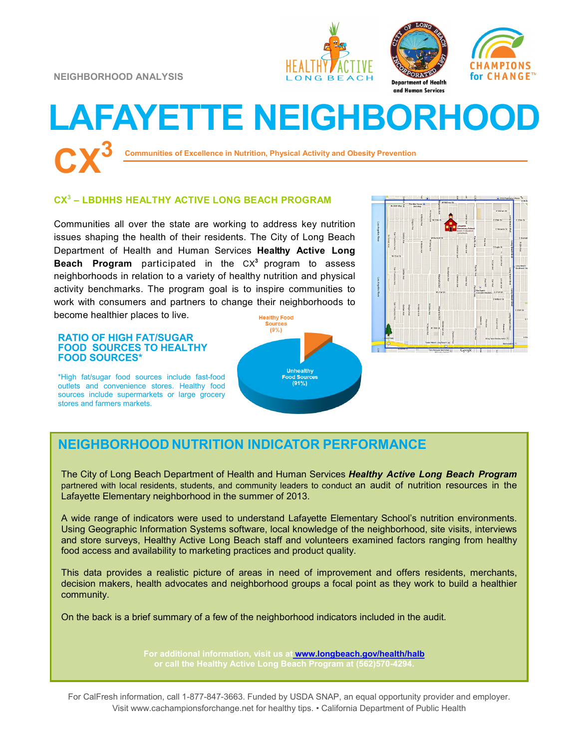**NEIGHBORHOOD ANALYSIS**





CHAMPIONS

for CHANGE™

# **LAFAYETTE NEIGHBORHOOD CX<sup>3</sup>**

**Communities of Excellence in Nutrition, Physical Activity and Obesity Prevention**

#### **CX<sup>3</sup> – LBDHHS HEALTHY ACTIVE LONG BEACH PROGRAM**

Communities all over the state are working to address key nutrition issues shaping the health of their residents. The City of Long Beach Department of Health and Human Services **Healthy Active Long Beach Program** participated in the CX**<sup>3</sup>** program to assess neighborhoods in relation to a variety of healthy nutrition and physical activity benchmarks. The program goal is to inspire communities to work with consumers and partners to change their neighborhoods to become healthier places to live.

#### **RATIO OF HIGH FAT/SUGAR FOOD SOURCES TO HEALTHY FOOD SOURCES\***

\*High fat/sugar food sources include fast-food outlets and convenience stores. Healthy food sources include supermarkets or large grocery stores and farmers markets.





## **NEIGHBORHOOD NUTRITION INDICATOR PERFORMANCE**

The City of Long Beach Department of Health and Human Services *Healthy Active Long Beach Program*  partnered with local residents, students, and community leaders to conduct an audit of nutrition resources in the Lafayette Elementary neighborhood in the summer of 2013.

A wide range of indicators were used to understand Lafayette Elementary School's nutrition environments. Using Geographic Information Systems software, local knowledge of the neighborhood, site visits, interviews and store surveys, Healthy Active Long Beach staff and volunteers examined factors ranging from healthy food access and availability to marketing practices and product quality.

This data provides a realistic picture of areas in need of improvement and offers residents, merchants, decision makers, health advocates and neighborhood groups a focal point as they work to build a healthier community.

On the back is a brief summary of a few of the neighborhood indicators included in the audit.

**For additional information, visit us at [www.longbeach.gov/health/halb](http://%20www.longbeach.gov/health%20)** 

For CalFresh information, call 1-877-847-3663. Funded by USDA SNAP, an equal opportunity provider and employer. Visit www.cachampionsforchange.net for healthy tips. • California Department of Public Health